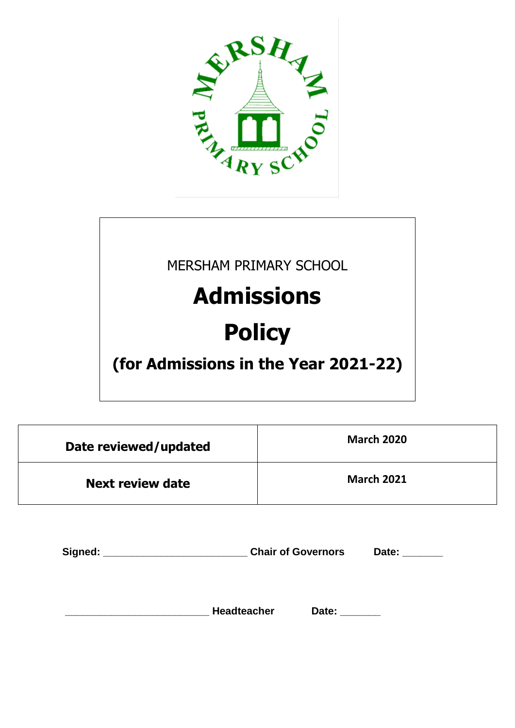

MERSHAM PRIMARY SCHOOL

# **Admissions**

# **Policy**

**(for Admissions in the Year 2021-22)**

| Date reviewed/updated   | <b>March 2020</b> |
|-------------------------|-------------------|
| <b>Next review date</b> | <b>March 2021</b> |

| Signed: |                    | <b>Chair of Governors</b> |  |
|---------|--------------------|---------------------------|--|
|         |                    |                           |  |
|         | <b>Headteacher</b> | Date:                     |  |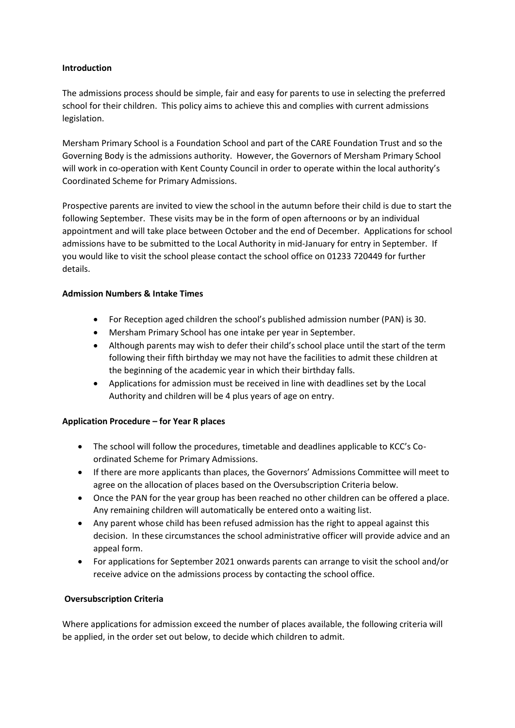#### **Introduction**

The admissions process should be simple, fair and easy for parents to use in selecting the preferred school for their children. This policy aims to achieve this and complies with current admissions legislation.

Mersham Primary School is a Foundation School and part of the CARE Foundation Trust and so the Governing Body is the admissions authority. However, the Governors of Mersham Primary School will work in co-operation with Kent County Council in order to operate within the local authority's Coordinated Scheme for Primary Admissions.

Prospective parents are invited to view the school in the autumn before their child is due to start the following September. These visits may be in the form of open afternoons or by an individual appointment and will take place between October and the end of December. Applications for school admissions have to be submitted to the Local Authority in mid-January for entry in September. If you would like to visit the school please contact the school office on 01233 720449 for further details.

#### **Admission Numbers & Intake Times**

- For Reception aged children the school's published admission number (PAN) is 30.
- Mersham Primary School has one intake per year in September.
- Although parents may wish to defer their child's school place until the start of the term following their fifth birthday we may not have the facilities to admit these children at the beginning of the academic year in which their birthday falls.
- Applications for admission must be received in line with deadlines set by the Local Authority and children will be 4 plus years of age on entry.

# **Application Procedure – for Year R places**

- The school will follow the procedures, timetable and deadlines applicable to KCC's Coordinated Scheme for Primary Admissions.
- If there are more applicants than places, the Governors' Admissions Committee will meet to agree on the allocation of places based on the Oversubscription Criteria below.
- Once the PAN for the year group has been reached no other children can be offered a place. Any remaining children will automatically be entered onto a waiting list.
- Any parent whose child has been refused admission has the right to appeal against this decision. In these circumstances the school administrative officer will provide advice and an appeal form.
- For applications for September 2021 onwards parents can arrange to visit the school and/or receive advice on the admissions process by contacting the school office.

# **Oversubscription Criteria**

Where applications for admission exceed the number of places available, the following criteria will be applied, in the order set out below, to decide which children to admit.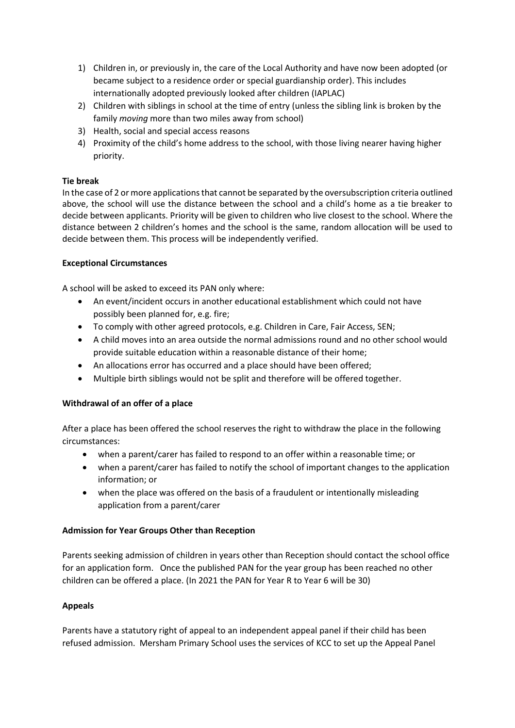- 1) Children in, or previously in, the care of the Local Authority and have now been adopted (or became subject to a residence order or special guardianship order). This includes internationally adopted previously looked after children (IAPLAC)
- 2) Children with siblings in school at the time of entry (unless the sibling link is broken by the family *moving* more than two miles away from school)
- 3) Health, social and special access reasons
- 4) Proximity of the child's home address to the school, with those living nearer having higher priority.

# **Tie break**

In the case of 2 or more applications that cannot be separated by the oversubscription criteria outlined above, the school will use the distance between the school and a child's home as a tie breaker to decide between applicants. Priority will be given to children who live closest to the school. Where the distance between 2 children's homes and the school is the same, random allocation will be used to decide between them. This process will be independently verified.

#### **Exceptional Circumstances**

A school will be asked to exceed its PAN only where:

- An event/incident occurs in another educational establishment which could not have possibly been planned for, e.g. fire;
- To comply with other agreed protocols, e.g. Children in Care, Fair Access, SEN;
- A child moves into an area outside the normal admissions round and no other school would provide suitable education within a reasonable distance of their home;
- An allocations error has occurred and a place should have been offered;
- Multiple birth siblings would not be split and therefore will be offered together.

# **Withdrawal of an offer of a place**

After a place has been offered the school reserves the right to withdraw the place in the following circumstances:

- when a parent/carer has failed to respond to an offer within a reasonable time; or
- when a parent/carer has failed to notify the school of important changes to the application information; or
- when the place was offered on the basis of a fraudulent or intentionally misleading application from a parent/carer

# **Admission for Year Groups Other than Reception**

Parents seeking admission of children in years other than Reception should contact the school office for an application form. Once the published PAN for the year group has been reached no other children can be offered a place. (In 2021 the PAN for Year R to Year 6 will be 30)

# **Appeals**

Parents have a statutory right of appeal to an independent appeal panel if their child has been refused admission. Mersham Primary School uses the services of KCC to set up the Appeal Panel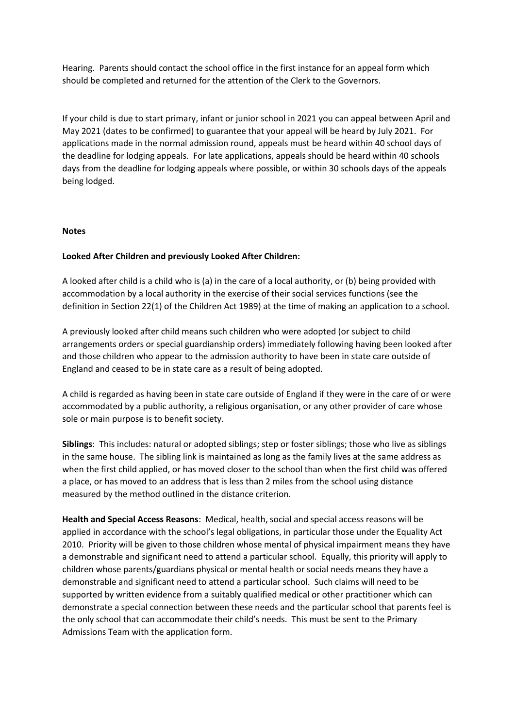Hearing. Parents should contact the school office in the first instance for an appeal form which should be completed and returned for the attention of the Clerk to the Governors.

If your child is due to start primary, infant or junior school in 2021 you can appeal between April and May 2021 (dates to be confirmed) to guarantee that your appeal will be heard by July 2021. For applications made in the normal admission round, appeals must be heard within 40 school days of the deadline for lodging appeals. For late applications, appeals should be heard within 40 schools days from the deadline for lodging appeals where possible, or within 30 schools days of the appeals being lodged.

#### **Notes**

#### **Looked After Children and previously Looked After Children:**

A looked after child is a child who is (a) in the care of a local authority, or (b) being provided with accommodation by a local authority in the exercise of their social services functions (see the definition in Section 22(1) of the Children Act 1989) at the time of making an application to a school.

A previously looked after child means such children who were adopted (or subject to child arrangements orders or special guardianship orders) immediately following having been looked after and those children who appear to the admission authority to have been in state care outside of England and ceased to be in state care as a result of being adopted.

A child is regarded as having been in state care outside of England if they were in the care of or were accommodated by a public authority, a religious organisation, or any other provider of care whose sole or main purpose is to benefit society.

**Siblings**: This includes: natural or adopted siblings; step or foster siblings; those who live as siblings in the same house. The sibling link is maintained as long as the family lives at the same address as when the first child applied, or has moved closer to the school than when the first child was offered a place, or has moved to an address that is less than 2 miles from the school using distance measured by the method outlined in the distance criterion.

**Health and Special Access Reasons**: Medical, health, social and special access reasons will be applied in accordance with the school's legal obligations, in particular those under the Equality Act 2010. Priority will be given to those children whose mental of physical impairment means they have a demonstrable and significant need to attend a particular school. Equally, this priority will apply to children whose parents/guardians physical or mental health or social needs means they have a demonstrable and significant need to attend a particular school. Such claims will need to be supported by written evidence from a suitably qualified medical or other practitioner which can demonstrate a special connection between these needs and the particular school that parents feel is the only school that can accommodate their child's needs. This must be sent to the Primary Admissions Team with the application form.